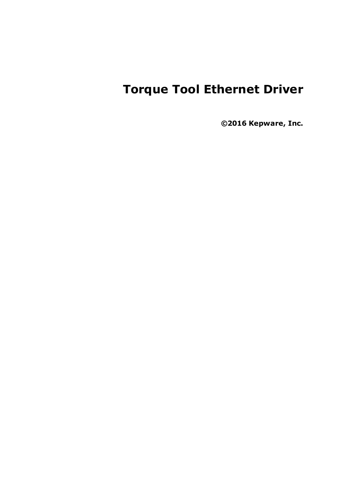# **Torque Tool Ethernet Driver**

**©2016 Kepware, Inc.**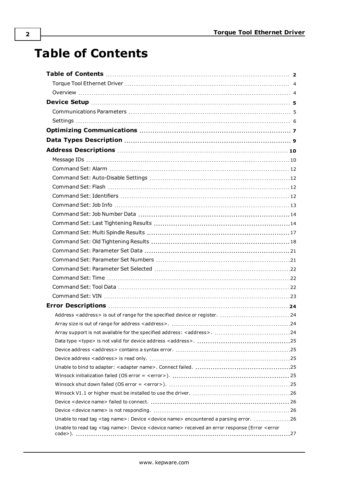# <span id="page-1-0"></span>**Table of Contents**

| Address <address> is out of range for the specified device or register.  24</address>                                                       |  |
|---------------------------------------------------------------------------------------------------------------------------------------------|--|
|                                                                                                                                             |  |
|                                                                                                                                             |  |
|                                                                                                                                             |  |
|                                                                                                                                             |  |
|                                                                                                                                             |  |
|                                                                                                                                             |  |
|                                                                                                                                             |  |
|                                                                                                                                             |  |
|                                                                                                                                             |  |
|                                                                                                                                             |  |
|                                                                                                                                             |  |
| Unable to read tag <tag name="">: Device <device name=""> encountered a parsing error. 26</device></tag>                                    |  |
| Unable to read tag <tag name="">: Device <device name=""> received an error response (Error <error< td=""><td></td></error<></device></tag> |  |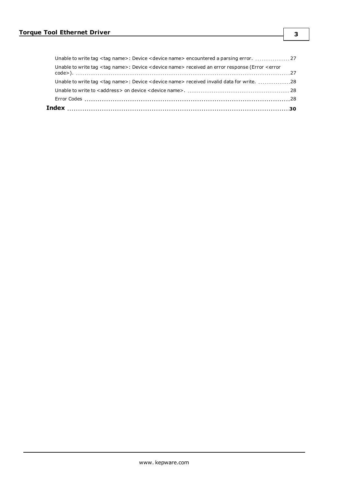| Unable to write tag <tag name="">: Device <device name=""> received invalid data for write. 28</device></tag>                                |  |
|----------------------------------------------------------------------------------------------------------------------------------------------|--|
|                                                                                                                                              |  |
| Unable to write tag <tag name="">: Device <device name=""> received an error response (Error <error< td=""><td></td></error<></device></tag> |  |
| Unable to write tag <tag name="">: Device <device name=""> encountered a parsing error. 27</device></tag>                                    |  |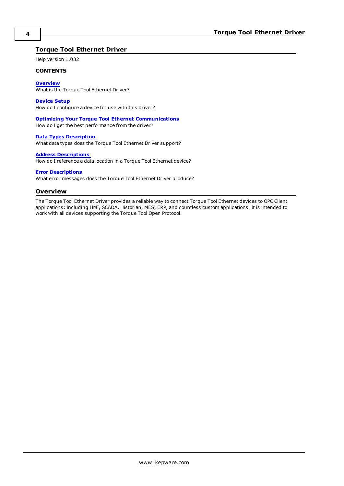## <span id="page-3-0"></span>**Torque Tool Ethernet Driver**

Help version 1.032

#### **CONTENTS**

#### **[Overview](#page-3-1)**

What is the Torque Tool Ethernet Driver?

#### **[Device](#page-4-0) Setup**

How do I configure a device for use with this driver?

#### **Optimizing Your Torque Tool Ethernet [Communications](#page-6-0)**

How do I get the best performance from the driver?

#### **Data Types [Description](#page-8-0)**

What data types does the Torque Tool Ethernet Driver support?

#### **Address [Descriptions](#page-9-0)**

How do I reference a data location in a Torque Tool Ethernet device?

#### **Error [Descriptions](#page-23-0)**

<span id="page-3-1"></span>What error messages does the Torque Tool Ethernet Driver produce?

#### **Overview**

The Torque Tool Ethernet Driver provides a reliable way to connect Torque Tool Ethernet devices to OPC Client applications; including HMI, SCADA, Historian, MES, ERP, and countless custom applications. It is intended to work with all devices supporting the Torque Tool Open Protocol.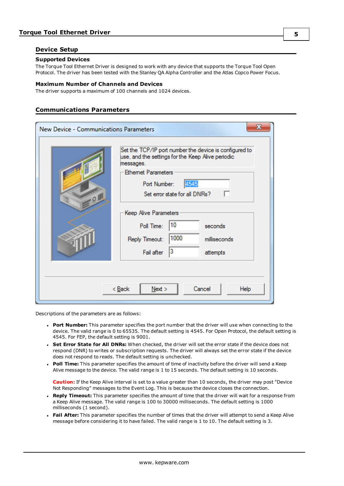#### <span id="page-4-0"></span>**Device Setup**

#### **Supported Devices**

The Torque Tool Ethernet Driver is designed to work with any device that supports the Torque Tool Open Protocol. The driver has been tested with the Stanley QA Alpha Controller and the Atlas Copco Power Focus.

#### **Maximum Number of Channels and Devices**

The driver supports a maximum of 100 channels and 1024 devices.

#### <span id="page-4-1"></span>**Communications Parameters**

| New Device - Communications Parameters | x                                                                                                                                                                                                                                                                                                                                                                                           |
|----------------------------------------|---------------------------------------------------------------------------------------------------------------------------------------------------------------------------------------------------------------------------------------------------------------------------------------------------------------------------------------------------------------------------------------------|
| $-9$                                   | Set the TCP/IP port number the device is configured to<br>use, and the settings for the Keep Alive periodic<br>messages.<br><b>Ethemet Parameters</b><br>4545<br>Port Number:<br>Set error state for all DNRs?<br>Keep Alive Parameters<br>10<br>Poll Time:<br>seconds<br>1000<br>milliseconds<br>Reply Timeout:<br>3<br>Fail after<br>attempts<br>Cancel<br>< <u>B</u> ack<br>Next<br>Help |
|                                        |                                                                                                                                                                                                                                                                                                                                                                                             |

Descriptions of the parameters are as follows:

- **Port Number:** This parameter specifies the port number that the driver will use when connecting to the device. The valid range is 0 to 65535. The default setting is 4545. For Open Protocol, the default setting is 4545. For FEP, the default setting is 9001.
- <sup>l</sup> **Set Error State for All DNRs:** When checked, the driver will set the error state if the device does not respond (DNR) to writes or subscription requests. The driver will always set the error state if the device does not respond to reads. The default setting is unchecked.
- <sup>l</sup> **Poll Time:** This parameter specifies the amount of time of inactivity before the driver will send a Keep Alive message to the device. The valid range is 1 to 15 seconds. The default setting is 10 seconds.

**Caution:** If the Keep Alive interval is set to a value greater than 10 seconds, the driver may post "Device Not Responding" messages to the Event Log. This is because the device closes the connection.

- <sup>l</sup> **Reply Timeout:** This parameter specifies the amount of time that the driver will wait for a response from a Keep Alive message. The valid range is 100 to 30000 milliseconds. The default setting is 1000 milliseconds (1 second).
- **Fail After:** This parameter specifies the number of times that the driver will attempt to send a Keep Alive message before considering it to have failed. The valid range is 1 to 10. The default setting is 3.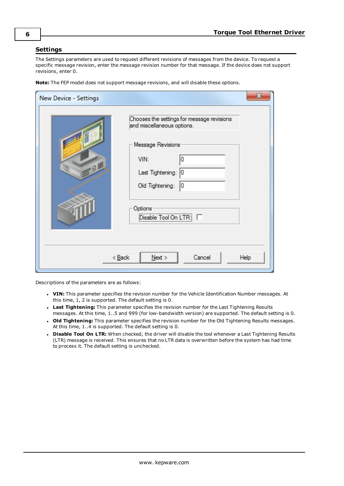### <span id="page-5-0"></span>**Settings**

The Settings parameters are used to request different revisions of messages from the device. To request a specific message revision, enter the message revision number for that message. If the device does not support revisions, enter 0.

**Note:** The FEP model does not support message revisions, and will disable these options.

| New Device - Settings | х                                                                                                                                                                                              |
|-----------------------|------------------------------------------------------------------------------------------------------------------------------------------------------------------------------------------------|
| $-9$                  | Chooses the settings for message revisions<br>and miscellaneous options.<br>Message Revisions<br>VIN:<br>0<br>Last Tightening:<br>0<br>0<br>Old Tightening:<br>Options<br>Disable Tool On LTR: |
|                       | $<$ Back<br>Next<br>Cancel<br>Help                                                                                                                                                             |

Descriptions of the parameters are as follows:

- **· VIN:** This parameter specifies the revision number for the Vehicle Identification Number messages. At this time, 1, 2 is supported. The default setting is 0.
- **Last Tightening:** This parameter specifies the revision number for the Last Tightening Results messages. At this time, 1..5 and 999 (for low-bandwidth version) are supported. The default setting is 0.
- <sup>l</sup> **Old Tightening:** This parameter specifies the revision number for the Old Tightening Results messages. At this time, 1..4 is supported. The default setting is 0.
- <sup>l</sup> **Disable Tool On LTR:** When checked, the driver will disable the tool whenever a Last Tightening Results (LTR) message is received. This ensures that no LTR data is overwritten before the system has had time to process it. The default setting is unchecked.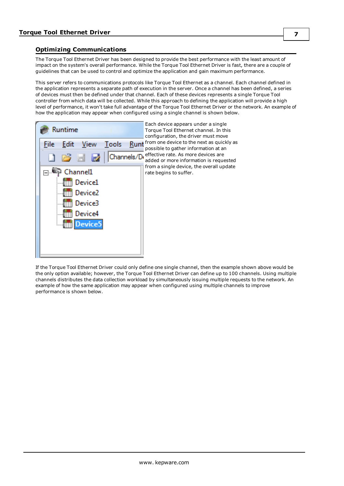## <span id="page-6-0"></span>**Optimizing Communications**

The Torque Tool Ethernet Driver has been designed to provide the best performance with the least amount of impact on the system's overall performance. While the Torque Tool Ethernet Driver is fast, there are a couple of guidelines that can be used to control and optimize the application and gain maximum performance.

This server refers to communications protocols like Torque Tool Ethernet as a channel. Each channel defined in the application represents a separate path of execution in the server. Once a channel has been defined, a series of devices must then be defined under that channel. Each of these devices represents a single Torque Tool controller from which data will be collected. While this approach to defining the application will provide a high level of performance, it won't take full advantage of the Torque Tool Ethernet Driver or the network. An example of how the application may appear when configured using a single channel is shown below.



If the Torque Tool Ethernet Driver could only define one single channel, then the example shown above would be the only option available; however, the Torque Tool Ethernet Driver can define up to 100 channels. Using multiple channels distributes the data collection workload by simultaneously issuing multiple requests to the network. An example of how the same application may appear when configured using multiple channels to improve performance is shown below.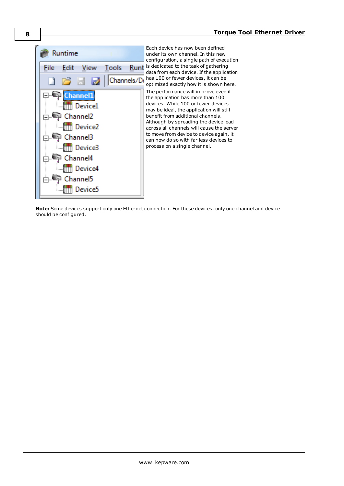

**Note:** Some devices support only one Ethernet connection. For these devices, only one channel and device should be configured.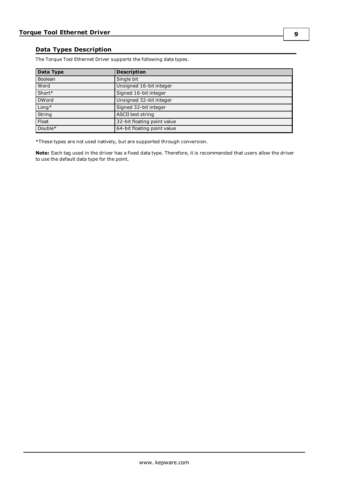## <span id="page-8-0"></span>**Data Types Description**

The Torque Tool Ethernet Driver supports the following data types.

| Data Type    | <b>Description</b>          |
|--------------|-----------------------------|
| Boolean      | Single bit                  |
| <b>Word</b>  | Unsigned 16-bit integer     |
| Short*       | Signed 16-bit integer       |
| <b>DWord</b> | Unsigned 32-bit integer     |
| Long*        | Signed 32-bit integer       |
| String       | <b>ASCII text string</b>    |
| Float        | 32-bit floating point value |
| Double*      | 64-bit floating point value |

\*These types are not used natively, but are supported through conversion.

**Note:** Each tag used in the driver has a fixed data type. Therefore, it is recommended that users allow the driver to use the default data type for the point.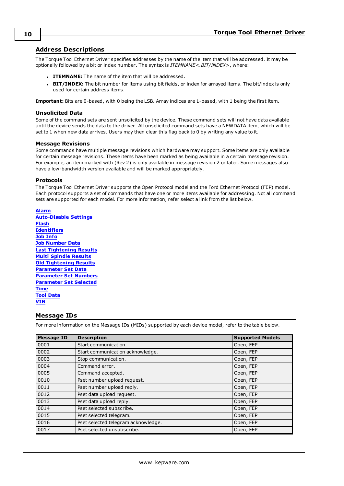### <span id="page-9-0"></span>**Address Descriptions**

The Torque Tool Ethernet Driver specifies addresses by the name of the item that will be addressed. It may be optionally followed by a bit or index number. The syntax is *ITEMNAME<.BIT/INDEX>*, where:

- **. ITEMNAME:** The name of the item that will be addressed.
- **BIT/INDEX:** The bit number for items using bit fields, or index for arrayed items. The bit/index is only used for certain address items.

**Important:** Bits are 0-based, with 0 being the LSB. Array indices are 1-based, with 1 being the first item.

#### **Unsolicited Data**

Some of the command sets are sent unsolicited by the device. These command sets will not have data available until the device sends the data to the driver. All unsolicited command sets have a NEWDATA item, which will be set to 1 when new data arrives. Users may then clear this flag back to 0 by writing any value to it.

#### **Message Revisions**

Some commands have multiple message revisions which hardware may support. Some items are only available for certain message revisions. These items have been marked as being available in a certain message revision. For example, an item marked with (Rev 2) is only available in message revision 2 or later. Some messages also have a low-bandwidth version available and will be marked appropriately.

#### **Protocols**

The Torque Tool Ethernet Driver supports the Open Protocol model and the Ford Ethernet Protocol (FEP) model. Each protocol supports a set of commands that have one or more items available for addressing. Not all command sets are supported for each model. For more information, refer select a link from the list below.

**[Alarm](#page-11-0) [Auto-Disable](#page-11-1) Settings [Flash](#page-11-2) [Identifiers](#page-11-3) Job [Info](#page-12-0) Job [Number](#page-13-0) Data Last [Tightening](#page-13-1) Results Multi [Spindle](#page-16-0) Results Old [Tightening](#page-17-0) Results [Parameter](#page-20-0) Set Data [Parameter](#page-20-1) Set Numbers [Parameter](#page-21-0) Set Selected [Time](#page-21-1) Tool [Data](#page-21-2) [VIN](#page-22-0)**

#### <span id="page-9-1"></span>**Message IDs**

For more information on the Message IDs (MIDs) supported by each device model, refer to the table below.

| <b>Message ID</b> | <b>Description</b>                  | <b>Supported Models</b> |
|-------------------|-------------------------------------|-------------------------|
| 0001              | Start communication.                | Open, FEP               |
| 0002              | Start communication acknowledge.    | Open, FEP               |
| 0003              | Stop communication.                 | Open, FEP               |
| 0004              | Command error.                      | Open, FEP               |
| 0005              | Command accepted.                   | Open, FEP               |
| 0010              | Pset number upload request.         | Open, FEP               |
| 0011              | Pset number upload reply.           | Open, FEP               |
| 0012              | Pset data upload request.           | Open, FEP               |
| 0013              | Pset data upload reply.             | Open, FEP               |
| 0014              | Pset selected subscribe.            | Open, FEP               |
| 0015              | Pset selected telegram.             | Open, FEP               |
| 0016              | Pset selected telegram acknowledge. | Open, FEP               |
| 0017              | Pset selected unsubscribe.          | Open, FEP               |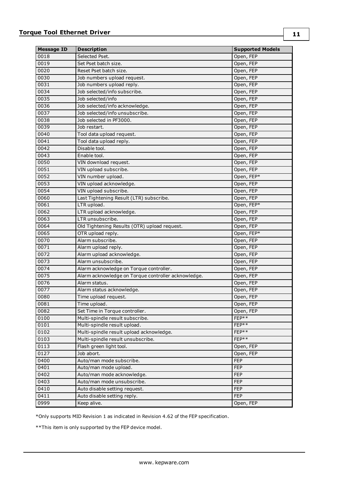| <b>Message ID</b> | <b>Description</b>                                  | <b>Supported Models</b> |
|-------------------|-----------------------------------------------------|-------------------------|
| 0018              | Selected Pset.                                      | Open, FEP               |
| 0019              | Set Pset batch size.                                | Open, FEP               |
| 0020              | Reset Pset batch size.                              | Open, FEP               |
| 0030              | Job numbers upload request.                         | Open, FEP               |
| 0031              | Job numbers upload reply.                           | Open, FEP               |
| 0034              | Job selected/info subscribe.                        | Open, FEP               |
| 0035              | Job selected/info                                   | Open, FEP               |
| 0036              | Job selected/info acknowledge.                      | Open, FEP               |
| 0037              | Job selected/info unsubscribe.                      | Open, FEP               |
| 0038              | Job selected in PF3000.                             | Open, FEP               |
| 0039              | Job restart.                                        | Open, FEP               |
| 0040              | Tool data upload request.                           | Open, FEP               |
| 0041              | Tool data upload reply.                             | Open, FEP               |
| 0042              | Disable tool.                                       | Open, FEP               |
| 0043              | Enable tool.                                        | Open, FEP               |
| 0050              | VIN download request.                               | Open, FEP               |
| 0051              | VIN upload subscribe.                               | Open, FEP               |
| 0052              | VIN number upload.                                  | Open, FEP*              |
| 0053              | VIN upload acknowledge.                             | Open, FEP               |
| 0054              | VIN upload subscribe.                               |                         |
| 0060              | Last Tightening Result (LTR) subscribe.             | Open, FEP               |
| 0061              |                                                     | Open, FEP               |
|                   | LTR upload.                                         | Open, FEP*              |
| 0062              | LTR upload acknowledge.                             | Open, FEP               |
| 0063              | LTR unsubscribe.                                    | Open, FEP               |
| 0064              | Old Tightening Results (OTR) upload request.        | Open, FEP               |
| 0065              | OTR upload reply.                                   | Open, FEP*              |
| 0070              | Alarm subscribe.                                    | Open, FEP               |
| 0071              | Alarm upload reply.                                 | Open, FEP               |
| 0072              | Alarm upload acknowledge.                           | Open, FEP               |
| 0073              | Alarm unsubscribe.                                  | Open, FEP               |
| 0074              | Alarm acknowledge on Torque controller.             | Open, FEP               |
| 0075              | Alarm acknowledge on Torque controller acknowledge. | Open, FEP               |
| 0076              | Alarm status.                                       | Open, FEP               |
| 0077              | Alarm status acknowledge.                           | Open, FEP               |
| 0080              | Time upload request.                                | Open, FEP               |
| 0081              | Time upload.                                        | Open, FEP               |
| 0082              | Set Time in Torque controller.                      | Open, FEP               |
| 0100              | Multi-spindle result subscribe.                     | FEP**                   |
| 0101              | Multi-spindle result upload.                        | FEP**                   |
| 0102              | Multi-spindle result upload acknowledge.            | FEP**                   |
| 0103              | Multi-spindle result unsubscribe.                   | FEP**                   |
| 0113              | Flash green light tool.                             | Open, FEP               |
| 0127              | Job abort.                                          | Open, FEP               |
| 0400              | Auto/man mode subscribe.                            | <b>FEP</b>              |
| 0401              | Auto/man mode upload.                               | <b>FEP</b>              |
| 0402              | Auto/man mode acknowledge.                          | <b>FEP</b>              |
| 0403              | Auto/man mode unsubscribe.                          | <b>FEP</b>              |
| 0410              | Auto disable setting request.                       | <b>FEP</b>              |
| 0411              | Auto disable setting reply.                         | <b>FEP</b>              |
| 0999              | Keep alive.                                         | Open, FEP               |

\*Only supports MID Revision 1 as indicated in Revision 4.62 of the FEP specification.

\*\*This item is only supported by the FEP device model.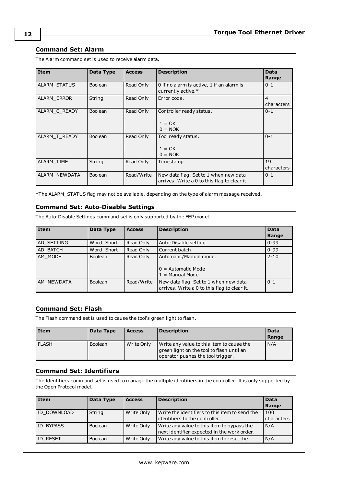## <span id="page-11-0"></span>**Command Set: Alarm**

| Item                | Data Type      | <b>Access</b> | <b>Description</b>                                                                    | <b>Data</b><br>Range         |
|---------------------|----------------|---------------|---------------------------------------------------------------------------------------|------------------------------|
| <b>ALARM STATUS</b> | <b>Boolean</b> | Read Only     | 0 if no alarm is active, 1 if an alarm is<br>currently active.*                       | $0 - 1$                      |
| ALARM_ERROR         | String         | Read Only     | Error code.                                                                           | $\overline{4}$<br>characters |
| ALARM C READY       | Boolean        | Read Only     | Controller ready status.<br>$1 = OK$                                                  | $0 - 1$                      |
|                     |                |               | $0 = NOK$                                                                             |                              |
| ALARM T READY       | <b>Boolean</b> | Read Only     | Tool ready status.<br>$1 = OK$<br>$0 = NOK$                                           | $0 - 1$                      |
| ALARM TIME          | String         | Read Only     | Timestamp                                                                             | 19<br>characters             |
| ALARM_NEWDATA       | <b>Boolean</b> | Read/Write    | New data flag. Set to 1 when new data<br>arrives. Write a 0 to this flag to clear it. | $0 - 1$                      |

The Alarm command set is used to receive alarm data.

<span id="page-11-1"></span>\*The ALARM\_STATUS flag may not be available, depending on the type of alarm message received.

## **Command Set: Auto-Disable Settings**

The Auto-Disable Settings command set is only supported by the FEP model.

| Item       | Data Type      | <b>Access</b> | <b>Description</b>                                                                    | <b>Data</b> |
|------------|----------------|---------------|---------------------------------------------------------------------------------------|-------------|
|            |                |               |                                                                                       | Range       |
| AD SETTING | Word, Short    | Read Only     | Auto-Disable setting.                                                                 | $0 - 99$    |
| AD BATCH   | Word, Short    | Read Only     | Current batch.                                                                        | $0 - 99$    |
| AM MODE    | <b>Boolean</b> | Read Only     | Automatic/Manual mode.                                                                | $2 - 10$    |
|            |                |               | $0 =$ Automatic Mode<br>$1 =$ Manual Mode                                             |             |
| AM NEWDATA | <b>Boolean</b> | Read/Write    | New data flag. Set to 1 when new data<br>arrives. Write a 0 to this flag to clear it. | $0 - 1$     |

#### <span id="page-11-2"></span>**Command Set: Flash**

The Flash command set is used to cause the tool's green light to flash.

| <b>Item</b>  | Data Type      | <b>Access</b> | <b>Description</b>                                                                                                          | Data<br>Range |
|--------------|----------------|---------------|-----------------------------------------------------------------------------------------------------------------------------|---------------|
| <b>FLASH</b> | <b>Boolean</b> | Write Only    | Write any value to this item to cause the<br>green light on the tool to flash until an<br>operator pushes the tool trigger. | N/A           |

### <span id="page-11-3"></span>**Command Set: Identifiers**

The Identifiers command set is used to manage the multiple identifiers in the controller. It is only supported by the Open Protocol model.

| l Item           | Data Type      | <b>Access</b> | <b>Description</b>                                                                        | <b>Data</b><br>Range |
|------------------|----------------|---------------|-------------------------------------------------------------------------------------------|----------------------|
| ID DOWNLOAD      | String         | Write Only    | Write the identifiers to this item to send the<br>identifiers to the controller.          | 100<br>characters    |
| <b>ID BYPASS</b> | <b>Boolean</b> | Write Only    | Write any value to this item to bypass the<br>next identifier expected in the work order. | N/A                  |
| <b>ID RESET</b>  | Boolean        | Write Only    | Write any value to this item to reset the                                                 | N/A                  |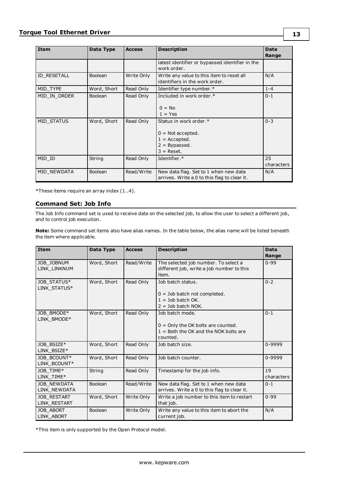| Item              | Data Type      | <b>Access</b> | <b>Description</b>                                                          | Data<br>Range |
|-------------------|----------------|---------------|-----------------------------------------------------------------------------|---------------|
|                   |                |               | latest identifier or bypassed identifier in the<br>work order.              |               |
| ID RESETALL       | <b>Boolean</b> | Write Only    | Write any value to this item to reset all<br>identifiers in the work order. | N/A           |
| MID TYPE          | Word, Short    | Read Only     | Identifier type number.*                                                    | $1 - 4$       |
| MID IN ORDER      | <b>Boolean</b> | Read Only     | Included in work order.*                                                    | $0 - 1$       |
|                   |                |               | $0 = No$                                                                    |               |
|                   |                |               | $1 = Yes$                                                                   |               |
| <b>MID STATUS</b> | Word, Short    | Read Only     | Status in work order.*                                                      | $0 - 3$       |
|                   |                |               | $0 =$ Not accepted.                                                         |               |
|                   |                |               | $1 =$ Accepted.                                                             |               |
|                   |                |               | $2 = By passed.$                                                            |               |
|                   |                |               | $3 =$ Reset.                                                                |               |
| MID ID            | String         | Read Only     | Identifier.*                                                                | 25            |
|                   |                |               |                                                                             | characters    |
| MID NEWDATA       | <b>Boolean</b> | Read/Write    | New data flag. Set to 1 when new data                                       | N/A           |
|                   |                |               | arrives. Write a 0 to this flag to clear it.                                |               |

<span id="page-12-0"></span>\*These items require an array index (1..4).

## **Command Set: Job Info**

The Job Info command set is used to receive data on the selected job, to allow the user to select a different job, and to control job execution.

**Note:** Some command set items also have alias names. In the table below, the alias name will be listed beneath the item where applicable.

| <b>Item</b>                        | Data Type   | <b>Access</b> | <b>Description</b>                                                                                             | <b>Data</b><br>Range |
|------------------------------------|-------------|---------------|----------------------------------------------------------------------------------------------------------------|----------------------|
| JOB JOBNUM<br>LINK LINKNUM         | Word, Short | Read/Write    | The selected job number. To select a<br>different job, write a job number to this<br>item.                     | $0 - 99$             |
| JOB STATUS*<br>LINK STATUS*        | Word, Short | Read Only     | Job batch status.<br>$0 =$ Job batch not completed.<br>$1 =$ Job batch OK.<br>$2 =$ Job batch NOK.             | $0 - 2$              |
| JOB BMODE*<br>LINK BMODE*          | Word, Short | Read Only     | Job batch mode.<br>$0 =$ Only the OK bolts are counted.<br>$1 =$ Both the OK and the NOK bolts are<br>counted. | $0 - 1$              |
| JOB BSIZE*<br>LINK BSIZE*          | Word, Short | Read Only     | Job batch size.                                                                                                | 0-9999               |
| JOB BCOUNT*<br>LINK BCOUNT*        | Word, Short | Read Only     | Job batch counter.                                                                                             | 0-9999               |
| JOB TIME*<br>LINK TIME*            | String      | Read Only     | Timestamp for the job info.                                                                                    | 19<br>characters     |
| <b>JOB NEWDATA</b><br>LINK NEWDATA | Boolean     | Read/Write    | New data flag. Set to 1 when new data<br>arrives. Write a 0 to this flag to clear it.                          | $0 - 1$              |
| <b>JOB RESTART</b><br>LINK_RESTART | Word, Short | Write Only    | Write a job number to this item to restart<br>that job.                                                        | $0 - 99$             |
| JOB ABORT<br>LINK_ABORT            | Boolean     | Write Only    | Write any value to this item to abort the<br>current job.                                                      | N/A                  |

\*This item is only supported by the Open Protocol model.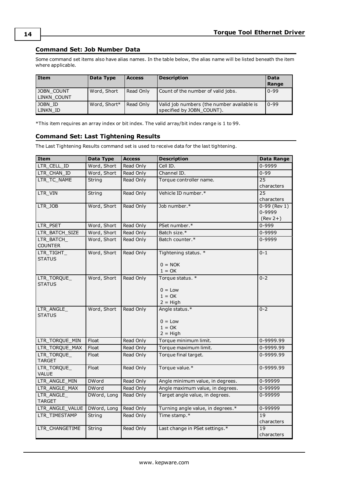## <span id="page-13-0"></span>**Command Set: Job Number Data**

Some command set items also have alias names. In the table below, the alias name will be listed beneath the item where applicable.

| l Item                    | Data Type    | <b>Access</b> | <b>Description</b>                                                      | Data<br>Range |
|---------------------------|--------------|---------------|-------------------------------------------------------------------------|---------------|
| JOBN COUNT<br>LINKN COUNT | Word, Short  | Read Only     | Count of the number of valid jobs.                                      | $0 - 99$      |
| JOBN ID<br>LINKN ID       | Word, Short* | Read Only     | Valid job numbers (the number available is<br>specified by JOBN COUNT). | $10-99$       |

<span id="page-13-1"></span>\*This item requires an array index or bit index. The valid array/bit index range is 1 to 99.

## **Command Set: Last Tightening Results**

The Last Tightening Results command set is used to receive data for the last tightening.

| Item                        | Data Type    | <b>Access</b> | <b>Description</b>                | Data Range      |
|-----------------------------|--------------|---------------|-----------------------------------|-----------------|
| LTR_CELL_ID                 | Word, Short  | Read Only     | Cell ID.                          | $0 - 9999$      |
| LTR_CHAN_ID                 | Word, Short  | Read Only     | Channel ID.                       | $0 - 99$        |
| LTR TC NAME                 | String       | Read Only     | Torque controller name.           | $\overline{25}$ |
|                             |              |               |                                   | characters      |
| LTR_VIN                     | String       | Read Only     | Vehicle ID number.*               | $\overline{25}$ |
|                             |              |               |                                   | characters      |
| LTR_JOB                     | Word, Short  | Read Only     | Job number.*                      | $0-99$ (Rev 1)  |
|                             |              |               |                                   | 0-9999          |
|                             |              |               |                                   | $(Rev 2+)$      |
| LTR PSET                    | Word, Short  | Read Only     | PSet number.*                     | $0 - 999$       |
| LTR_BATCH_SIZE              | Word, Short  | Read Only     | Batch size.*                      | 0-9999          |
| LTR BATCH<br><b>COUNTER</b> | Word, Short  | Read Only     | Batch counter.*                   | $0 - 9999$      |
| LTR_TIGHT_<br><b>STATUS</b> | Word, Short  | Read Only     | Tightening status. *              | $0 - 1$         |
|                             |              |               | $0 = NOK$                         |                 |
|                             |              |               | $1 = OK$                          |                 |
| LTR_TORQUE_                 | Word, Short  | Read Only     | Torque status. *                  | $0 - 2$         |
| <b>STATUS</b>               |              |               |                                   |                 |
|                             |              |               | $0 = Low$                         |                 |
|                             |              |               | $1 = OK$                          |                 |
|                             | Word, Short  | Read Only     | $2 = High$<br>Angle status.*      | $0 - 2$         |
| LTR_ANGLE_<br><b>STATUS</b> |              |               |                                   |                 |
|                             |              |               | $0 = Low$                         |                 |
|                             |              |               | $1 = OK$                          |                 |
|                             |              |               | $2 = High$                        |                 |
| LTR_TORQUE_MIN              | Float        | Read Only     | Torque minimum limit.             | 0-9999.99       |
| LTR_TORQUE_MAX              | Float        | Read Only     | Torque maximum limit.             | 0-9999.99       |
| LTR_TORQUE_                 | Float        | Read Only     | Torque final target.              | 0-9999.99       |
| <b>TARGET</b>               |              |               |                                   |                 |
| LTR_TORQUE_                 | Float        | Read Only     | Torque value.*                    | 0-9999.99       |
| VALUE                       |              |               |                                   |                 |
| LTR_ANGLE_MIN               | <b>DWord</b> | Read Only     | Angle minimum value, in degrees.  | 0-99999         |
| LTR ANGLE MAX               | <b>DWord</b> | Read Only     | Angle maximum value, in degrees.  | 0-99999         |
| LTR_ANGLE_<br><b>TARGET</b> | DWord, Long  | Read Only     | Target angle value, in degrees.   | 0-99999         |
| LTR_ANGLE_VALUE             | DWord, Long  | Read Only     | Turning angle value, in degrees.* | 0-99999         |
| LTR_TIMESTAMP               | String       | Read Only     | Time stamp.*                      | 19              |
|                             |              |               |                                   | characters      |
| LTR_CHANGETIME              | String       | Read Only     | Last change in PSet settings.*    | 19              |
|                             |              |               |                                   | characters      |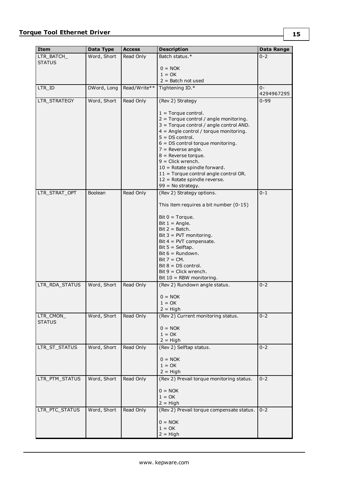| <b>Item</b>                | Data Type      | <b>Access</b> | <b>Description</b>                                                | Data Range |
|----------------------------|----------------|---------------|-------------------------------------------------------------------|------------|
| LTR BATCH                  | Word, Short    | Read Only     | Batch status.*                                                    | $0 - 2$    |
| <b>STATUS</b>              |                |               |                                                                   |            |
|                            |                |               | $0 = NOK$<br>$1 = OK$                                             |            |
|                            |                |               | $2 =$ Batch not used                                              |            |
| LTR_ID                     | DWord, Long    | Read/Write**  | Tightening ID.*                                                   | $0 -$      |
|                            |                |               |                                                                   | 4294967295 |
| LTR STRATEGY               | Word, Short    | Read Only     | (Rev 2) Strategy                                                  | $0 - 99$   |
|                            |                |               |                                                                   |            |
|                            |                |               | $1 =$ Torque control.<br>$2 =$ Torque control / angle monitoring. |            |
|                            |                |               | 3 = Torque control / angle control AND.                           |            |
|                            |                |               | $4 =$ Angle control / torque monitoring.                          |            |
|                            |                |               | $5 = DS control$ .                                                |            |
|                            |                |               | $6 = DS$ control torque monitoring.<br>$7$ = Reverse angle.       |            |
|                            |                |               | $8$ = Reverse torque.                                             |            |
|                            |                |               | $9 =$ Click wrench.                                               |            |
|                            |                |               | $10 =$ Rotate spindle forward.                                    |            |
|                            |                |               | $11 =$ Torque control angle control OR.                           |            |
|                            |                |               | $12$ = Rotate spindle reverse.<br>$99 = No strategy.$             |            |
| LTR_STRAT_OPT              | <b>Boolean</b> | Read Only     | (Rev 2) Strategy options.                                         | $0 - 1$    |
|                            |                |               |                                                                   |            |
|                            |                |               | This item requires a bit number (0-15)                            |            |
|                            |                |               | Bit $0 = Torque$ .                                                |            |
|                            |                |               | Bit $1 =$ Angle.                                                  |            |
|                            |                |               | $Bit 2 = Batch.$<br>Bit $3 =$ PVT monitoring.                     |            |
|                            |                |               | Bit $4 = PVT$ compensate.                                         |            |
|                            |                |               | Bit $5 =$ Selftap.                                                |            |
|                            |                |               | Bit 6 = Rundown.                                                  |            |
|                            |                |               | $Bit 7 = CM.$<br>$Bit 8 = DS control.$                            |            |
|                            |                |               | $Bit 9 = Click$ wrench.                                           |            |
|                            |                |               | Bit $10 = RBW$ monitoring.                                        |            |
| LTR_RDA_STATUS             | Word, Short    | Read Only     | (Rev 2) Rundown angle status.                                     | $0 - 2$    |
|                            |                |               | $0 = NOK$                                                         |            |
|                            |                |               | $1 = OK$                                                          |            |
|                            | Word, Short    | Read Only     | $2 = High$<br>(Rev 2) Current monitoring status.                  | $0 - 2$    |
| LTR_CMON_<br><b>STATUS</b> |                |               |                                                                   |            |
|                            |                |               | $0 = NOK$<br>$1 = OK$                                             |            |
|                            |                |               | $2 = High$                                                        |            |
| LTR_ST_STATUS              | Word, Short    | Read Only     | (Rev 2) Selftap status.                                           | $0 - 2$    |
|                            |                |               |                                                                   |            |
|                            |                |               | $0 = NOK$<br>$1 = OK$                                             |            |
|                            |                |               | $2 = High$                                                        |            |
| LTR_PTM_STATUS             | Word, Short    | Read Only     | (Rev 2) Prevail torque monitoring status.                         | $0 - 2$    |
|                            |                |               | $0 = NOK$                                                         |            |
|                            |                |               | $1 = OK$                                                          |            |
|                            |                |               | $2 = High$                                                        |            |
| LTR_PTC_STATUS             | Word, Short    | Read Only     | (Rev 2) Prevail torque compensate status.                         | $0 - 2$    |
|                            |                |               | $0 = NOK$                                                         |            |
|                            |                |               | $1 = OK$                                                          |            |
|                            |                |               | $2 = High$                                                        |            |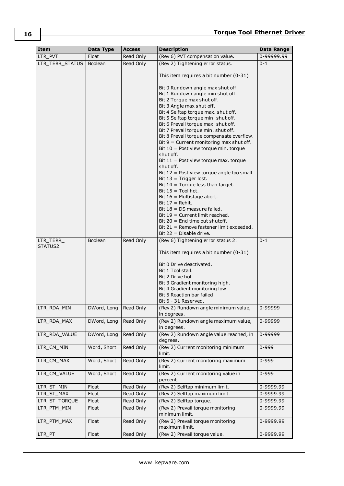| <b>Item</b>          | Data Type      | <b>Access</b> | <b>Description</b>                                                                                                                                                                                                                                                                                                                                                                                                                                                                                                                                                                                                                                                                                                                                                                                             | Data Range |
|----------------------|----------------|---------------|----------------------------------------------------------------------------------------------------------------------------------------------------------------------------------------------------------------------------------------------------------------------------------------------------------------------------------------------------------------------------------------------------------------------------------------------------------------------------------------------------------------------------------------------------------------------------------------------------------------------------------------------------------------------------------------------------------------------------------------------------------------------------------------------------------------|------------|
| LTR PVT              | Float          | Read Only     | (Rev 6) PVT compensation value.                                                                                                                                                                                                                                                                                                                                                                                                                                                                                                                                                                                                                                                                                                                                                                                | 0-99999.99 |
| LTR_TERR_STATUS      | <b>Boolean</b> | Read Only     | (Rev 2) Tightening error status.                                                                                                                                                                                                                                                                                                                                                                                                                                                                                                                                                                                                                                                                                                                                                                               | $0 - 1$    |
|                      |                |               | This item requires a bit number (0-31)                                                                                                                                                                                                                                                                                                                                                                                                                                                                                                                                                                                                                                                                                                                                                                         |            |
|                      |                |               | Bit 0 Rundown angle max shut off.<br>Bit 1 Rundown angle min shut off.<br>Bit 2 Torque max shut off.<br>Bit 3 Angle max shut off.<br>Bit 4 Selftap torque max. shut off.<br>Bit 5 Selftap torque min. shut off.<br>Bit 6 Prevail torque max. shut off.<br>Bit 7 Prevail torque min. shut off.<br>Bit 8 Prevail torque compensate overflow.<br>Bit $9$ = Current monitoring max shut off.<br>Bit 10 = Post view torque min. torque<br>shut off.<br>Bit $11$ = Post view torque max. torque<br>shut off.<br>Bit $12$ = Post view torque angle too small.<br>Bit $13$ = Trigger lost.<br>Bit $14 =$ Torque less than target.<br>Bit $15 =$ Tool hot.<br>Bit $16$ = Multistage abort.<br>Bit $17 =$ Rehit.<br>Bit $18 = DS$ measure failed.<br>Bit 19 = Current limit reached.<br>Bit $20 =$ End time out shutoff. |            |
|                      |                |               | Bit 21 = Remove fastener limit exceeded.                                                                                                                                                                                                                                                                                                                                                                                                                                                                                                                                                                                                                                                                                                                                                                       |            |
| LTR_TERR_<br>STATUS2 | Boolean        | Read Only     | Bit $22 =$ Disable drive.<br>(Rev 6) Tightening error status 2.                                                                                                                                                                                                                                                                                                                                                                                                                                                                                                                                                                                                                                                                                                                                                | $0 - 1$    |
|                      |                |               | This item requires a bit number (0-31)<br>Bit 0 Drive deactivated.<br>Bit 1 Tool stall.<br>Bit 2 Drive hot.<br>Bit 3 Gradient monitoring high.<br>Bit 4 Gradient monitoring low.<br>Bit 5 Reaction bar failed.<br>Bit 6 - 31 Reserved.                                                                                                                                                                                                                                                                                                                                                                                                                                                                                                                                                                         |            |
| LTR RDA MIN          | DWord, Long    | Read Only     | (Rev 2) Rundown angle minimum value,<br>in degrees.                                                                                                                                                                                                                                                                                                                                                                                                                                                                                                                                                                                                                                                                                                                                                            | 0-99999    |
| LTR_RDA_MAX          | DWord, Long    | Read Only     | (Rev 2) Rundown angle maximum value,<br>in degrees.                                                                                                                                                                                                                                                                                                                                                                                                                                                                                                                                                                                                                                                                                                                                                            | 0-99999    |
| LTR_RDA_VALUE        | DWord, Long    | Read Only     | (Rev 2) Rundown angle value reached, in<br>degrees.                                                                                                                                                                                                                                                                                                                                                                                                                                                                                                                                                                                                                                                                                                                                                            | 0-99999    |
| LTR CM MIN           | Word, Short    | Read Only     | (Rev 2) Current monitoring minimum<br>limit.                                                                                                                                                                                                                                                                                                                                                                                                                                                                                                                                                                                                                                                                                                                                                                   | $0 - 999$  |
| LTR_CM_MAX           | Word, Short    | Read Only     | (Rev 2) Current monitoring maximum<br>limit.                                                                                                                                                                                                                                                                                                                                                                                                                                                                                                                                                                                                                                                                                                                                                                   | 0-999      |
| LTR_CM_VALUE         | Word, Short    | Read Only     | (Rev 2) Current monitoring value in<br>percent.                                                                                                                                                                                                                                                                                                                                                                                                                                                                                                                                                                                                                                                                                                                                                                | 0-999      |
| LTR_ST_MIN           | Float          | Read Only     | (Rev 2) Selftap minimum limit.                                                                                                                                                                                                                                                                                                                                                                                                                                                                                                                                                                                                                                                                                                                                                                                 | 0-9999.99  |
| LTR_ST_MAX           | Float          | Read Only     | (Rev 2) Selftap maximum limit.                                                                                                                                                                                                                                                                                                                                                                                                                                                                                                                                                                                                                                                                                                                                                                                 | 0-9999.99  |
| LTR_ST_TORQUE        | Float          | Read Only     | (Rev 2) Selftap torque.                                                                                                                                                                                                                                                                                                                                                                                                                                                                                                                                                                                                                                                                                                                                                                                        | 0-9999.99  |
| LTR_PTM_MIN          | Float          | Read Only     | (Rev 2) Prevail torque monitoring<br>minimum limit.                                                                                                                                                                                                                                                                                                                                                                                                                                                                                                                                                                                                                                                                                                                                                            | 0-9999.99  |
| LTR_PTM_MAX          | Float          | Read Only     | (Rev 2) Prevail torque monitoring<br>maximum limit.                                                                                                                                                                                                                                                                                                                                                                                                                                                                                                                                                                                                                                                                                                                                                            | 0-9999.99  |
| LTR_PT               | Float          | Read Only     | (Rev 2) Prevail torque value.                                                                                                                                                                                                                                                                                                                                                                                                                                                                                                                                                                                                                                                                                                                                                                                  | 0-9999.99  |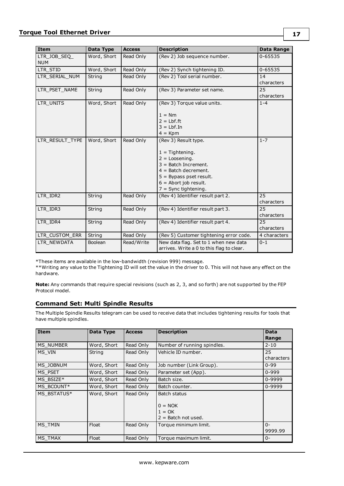| <b>Item</b>                | Data Type   | <b>Access</b> | <b>Description</b>                                                                                                                                                                                  | <b>Data Range</b> |
|----------------------------|-------------|---------------|-----------------------------------------------------------------------------------------------------------------------------------------------------------------------------------------------------|-------------------|
| LTR_JOB_SEQ_<br><b>NUM</b> | Word, Short | Read Only     | (Rev 2) Job sequence number.                                                                                                                                                                        | 0-65535           |
| LTR STID                   | Word, Short | Read Only     | (Rev 2) Synch tightening ID.                                                                                                                                                                        | 0-65535           |
| LTR SERIAL NUM             | String      | Read Only     | (Rev 2) Tool serial number.                                                                                                                                                                         | 14<br>characters  |
| LTR_PSET_NAME              | String      | Read Only     | (Rev 3) Parameter set name.                                                                                                                                                                         | 25<br>characters  |
| LTR UNITS                  | Word, Short | Read Only     | (Rev 3) Torque value units.                                                                                                                                                                         | $1 - 4$           |
|                            |             |               | $1 = Nm$                                                                                                                                                                                            |                   |
|                            |             |               | $2 = Lbf.$ ft<br>$3 = Lbf$ . In                                                                                                                                                                     |                   |
|                            |             |               | $4 = Kpm$                                                                                                                                                                                           |                   |
| LTR RESULT TYPE            |             |               |                                                                                                                                                                                                     | $1 - 7$           |
|                            | Word, Short | Read Only     | (Rev 3) Result type.<br>$1 =$ Tightening.<br>$2 = Loosening.$<br>$3 =$ Batch Increment.<br>$4 =$ Batch decrement.<br>$5 =$ Bypass pset result.<br>$6 =$ Abort job result.<br>$7 =$ Sync tightening. |                   |
| LTR_IDR2                   | String      | Read Only     | (Rev 4) Identifier result part 2.                                                                                                                                                                   | 25<br>characters  |
| LTR IDR3                   | String      | Read Only     | (Rev 4) Identifier result part 3.                                                                                                                                                                   | 25<br>characters  |
| LTR IDR4                   | String      | Read Only     | (Rev 4) Identifier result part 4.                                                                                                                                                                   | 25<br>characters  |
| LTR CUSTOM ERR             | String      | Read Only     | (Rev 5) Customer tightening error code.                                                                                                                                                             | 4 characters      |
| LTR NEWDATA                | Boolean     | Read/Write    | New data flag. Set to 1 when new data<br>arrives. Write a 0 to this flag to clear.                                                                                                                  | $0 - 1$           |

\*These items are available in the low-bandwidth (revision 999) message.

\*\*Writing any value to the Tightening ID will set the value in the driver to 0. This will not have any effect on the hardware.

**Note:** Any commands that require special revisions (such as 2, 3, and so forth) are not supported by the FEP Protocol model.

## <span id="page-16-0"></span>**Command Set: Multi Spindle Results**

The Multiple Spindle Results telegram can be used to receive data that includes tightening results for tools that have multiple spindles.

| <b>Item</b>      | Data Type   | <b>Access</b> | <b>Description</b>                                             | <b>Data</b><br>Range |
|------------------|-------------|---------------|----------------------------------------------------------------|----------------------|
| <b>MS NUMBER</b> | Word, Short | Read Only     | Number of running spindles.                                    | $2 - 10$             |
| MS VIN           | String      | Read Only     | Vehicle ID number.                                             | 25<br>characters     |
| MS JOBNUM        | Word, Short | Read Only     | Job number (Link Group).                                       | $0 - 99$             |
| MS PSET          | Word, Short | Read Only     | Parameter set (App).                                           | $0 - 999$            |
| MS BSIZE*        | Word, Short | Read Only     | Batch size.                                                    | 0-9999               |
| MS BCOUNT*       | Word, Short | Read Only     | Batch counter.                                                 | 0-9999               |
| MS BSTATUS*      | Word, Short | Read Only     | Batch status<br>$0 = NOK$<br>$1 = OK$<br>$2 =$ Batch not used. |                      |
| MS TMIN          | Float       | Read Only     | Torque minimum limit.                                          | $0 -$<br>9999.99     |
| MS TMAX          | Float       | Read Only     | Torque maximum limit.                                          | $0 -$                |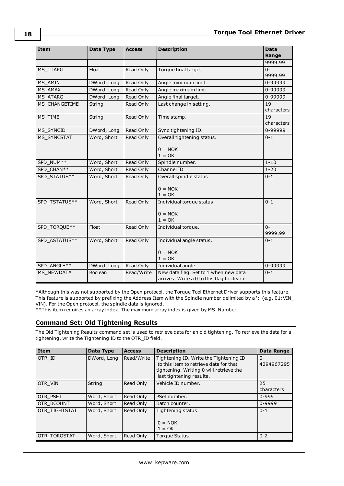| Item              | Data Type   | <b>Access</b> | <b>Description</b>                                                                    | <b>Data</b><br>Range |
|-------------------|-------------|---------------|---------------------------------------------------------------------------------------|----------------------|
|                   |             |               |                                                                                       | 9999.99              |
| <b>MS TTARG</b>   | Float       | Read Only     | Torque final target.                                                                  | $0 -$<br>9999.99     |
| MS AMIN           | DWord, Long | Read Only     | Angle minimum limit.                                                                  | 0-99999              |
| <b>MS AMAX</b>    | DWord, Long | Read Only     | Angle maximum limit.                                                                  | 0-99999              |
| MS ATARG          | DWord, Long | Read Only     | Angle final target.                                                                   | 0-99999              |
| MS CHANGETIME     | String      | Read Only     | Last change in setting.                                                               | 19<br>characters     |
| MS TIME           | String      | Read Only     | Time stamp.                                                                           | 19<br>characters     |
| MS_SYNCID         | DWord, Long | Read Only     | Sync tightening ID.                                                                   | 0-99999              |
| MS SYNCSTAT       | Word, Short | Read Only     | Overall tightening status.<br>$0 = NOK$                                               | $0 - 1$              |
|                   |             |               | $1 = OK$                                                                              |                      |
| SPD NUM**         | Word, Short | Read Only     | Spindle number.                                                                       | $1 - 10$             |
| SPD CHAN**        | Word, Short | Read Only     | Channel ID                                                                            | $1 - 20$             |
| SPD STATUS**      | Word, Short | Read Only     | Overall spindle status<br>$0 = NOK$<br>$1 = OK$                                       | $0 - 1$              |
| SPD TSTATUS**     | Word, Short | Read Only     | Individual torque status.<br>$0 = NOK$<br>$1 = OK$                                    | $0 - 1$              |
| SPD TORQUE**      | Float       | Read Only     | Individual torque.                                                                    | $0 -$<br>9999.99     |
| SPD ASTATUS**     | Word, Short | Read Only     | Individual angle status.<br>$0 = NOK$                                                 | $0 - 1$              |
| SPD ANGLE**       | DWord, Long | Read Only     | $1 = OK$<br>Individual angle.                                                         | 0-99999              |
| <b>MS NEWDATA</b> | Boolean     | Read/Write    | New data flag. Set to 1 when new data<br>arrives. Write a 0 to this flag to clear it. | $0 - 1$              |

\*Although this was not supported by the Open protocol, the Torque Tool Ethernet Driver supports this feature. This feature is supported by prefixing the Address Item with the Spindle number delimited by a ':' (e.g. 01:VIN\_ VIN). For the Open protocol, the spindle data is ignored.

<span id="page-17-0"></span>\*\*This item requires an array index. The maximum array index is given by MS\_Number.

## **Command Set: Old Tightening Results**

The Old Tightening Results command set is used to retrieve data for an old tightening. To retrieve the data for a tightening, write the Tightening ID to the OTR\_ID field.

| Item          | Data Type   | <b>Access</b> | <b>Description</b>                                                                                                                                      | Data Range          |
|---------------|-------------|---------------|---------------------------------------------------------------------------------------------------------------------------------------------------------|---------------------|
| OTR ID        | DWord, Long | Read/Write    | Tightening ID. Write the Tightening ID<br>to this item to retrieve data for that<br>tightening. Writing 0 will retrieve the<br>last tightening results. | $0 -$<br>4294967295 |
| OTR VIN       | String      | Read Only     | Vehicle ID number.                                                                                                                                      | 25<br>characters    |
| OTR PSET      | Word, Short | Read Only     | PSet number.                                                                                                                                            | $0 - 999$           |
| OTR_BCOUNT    | Word, Short | Read Only     | Batch counter.                                                                                                                                          | 0-9999              |
| OTR TIGHTSTAT | Word, Short | Read Only     | Tightening status.<br>$0 = NOK$<br>$1 = OK$                                                                                                             | $0 - 1$             |
| OTR TOROSTAT  | Word, Short | Read Only     | Torque Status.                                                                                                                                          | $0 - 2$             |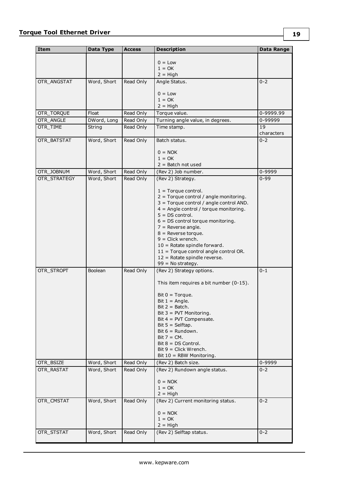| Item         | Data Type   | <b>Access</b> | <b>Description</b>                                        | <b>Data Range</b> |
|--------------|-------------|---------------|-----------------------------------------------------------|-------------------|
|              |             |               |                                                           |                   |
|              |             |               | $0 = Low$<br>$1 = OK$                                     |                   |
|              |             |               | $2 = High$                                                |                   |
| OTR_ANGSTAT  | Word, Short | Read Only     | Angle Status.                                             | $0 - 2$           |
|              |             |               |                                                           |                   |
|              |             |               | $0 = Low$<br>$1 = OK$                                     |                   |
|              |             |               | $2 = High$                                                |                   |
| OTR_TORQUE   | Float       | Read Only     | Torque value.                                             | 0-9999.99         |
| OTR_ANGLE    | DWord, Long | Read Only     | Turning angle value, in degrees.                          | 0-99999           |
| OTR_TIME     | String      | Read Only     | Time stamp.                                               | 19                |
|              |             |               |                                                           | characters        |
| OTR_BATSTAT  | Word, Short | Read Only     | Batch status.                                             | $0 - 2$           |
|              |             |               |                                                           |                   |
|              |             |               | $0 = NOK$<br>$1 = OK$                                     |                   |
|              |             |               | $2 =$ Batch not used                                      |                   |
| OTR_JOBNUM   | Word, Short | Read Only     | (Rev 2) Job number.                                       | 0-9999            |
| OTR_STRATEGY | Word, Short | Read Only     | (Rev 2) Strategy.                                         | $0 - 99$          |
|              |             |               |                                                           |                   |
|              |             |               | $1 =$ Torque control.                                     |                   |
|              |             |               | $2 =$ Torque control / angle monitoring.                  |                   |
|              |             |               | 3 = Torque control / angle control AND.                   |                   |
|              |             |               | $4 =$ Angle control / torque monitoring.                  |                   |
|              |             |               | $5 = DS control$ .<br>$6 = DS$ control torque monitoring. |                   |
|              |             |               | $7$ = Reverse angle.                                      |                   |
|              |             |               | $8$ = Reverse torque.                                     |                   |
|              |             |               | $9 =$ Click wrench.                                       |                   |
|              |             |               | $10 =$ Rotate spindle forward.                            |                   |
|              |             |               | $11 =$ Torque control angle control OR.                   |                   |
|              |             |               | 12 = Rotate spindle reverse.                              |                   |
|              |             |               | $99 = No strategy.$                                       |                   |
| OTR_STROPT   | Boolean     | Read Only     | (Rev 2) Strategy options.                                 | $0 - 1$           |
|              |             |               | This item requires a bit number (0-15).                   |                   |
|              |             |               |                                                           |                   |
|              |             |               | Bit $0 = Torque$ .                                        |                   |
|              |             |               | Bit $1 =$ Angle.<br>$Bit 2 = Batch.$                      |                   |
|              |             |               | Bit $3 =$ PVT Monitoring.                                 |                   |
|              |             |               | Bit $4 = PVT$ Compensate.                                 |                   |
|              |             |               | Bit $5 =$ Selftap.                                        |                   |
|              |             |               | Bit $6 =$ Rundown.                                        |                   |
|              |             |               | $Bit 7 = CM.$                                             |                   |
|              |             |               | $Bit 8 = DS Control.$                                     |                   |
|              |             |               | $Bit 9 = Click Wrench.$<br>Bit $10 =$ RBW Monitoring.     |                   |
| OTR BSIZE    | Word, Short | Read Only     | (Rev 2) Batch size.                                       | 0-9999            |
| OTR RASTAT   | Word, Short | Read Only     | (Rev 2) Rundown angle status.                             | $0 - 2$           |
|              |             |               |                                                           |                   |
|              |             |               | $0 = NOK$                                                 |                   |
|              |             |               | $1 = OK$                                                  |                   |
|              |             |               | $2 = High$                                                |                   |
| OTR_CMSTAT   | Word, Short | Read Only     | (Rev 2) Current monitoring status.                        | $0 - 2$           |
|              |             |               | $0 = NOK$                                                 |                   |
|              |             |               | $1 = OK$                                                  |                   |
|              |             |               | $2 = High$                                                |                   |
| OTR_STSTAT   | Word, Short | Read Only     | (Rev 2) Selftap status.                                   | $0 - 2$           |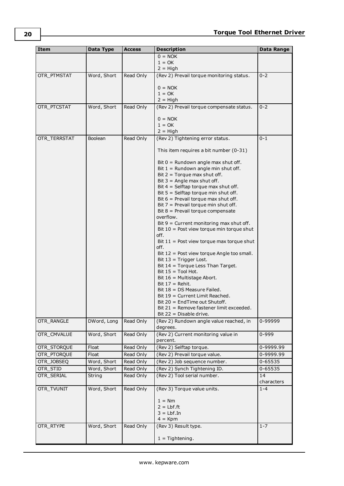| Item         | Data Type      | <b>Access</b> | <b>Description</b>                                                               | Data Range       |
|--------------|----------------|---------------|----------------------------------------------------------------------------------|------------------|
|              |                |               | $0 = NOK$                                                                        |                  |
|              |                |               | $1 = OK$<br>$2 = High$                                                           |                  |
| OTR_PTMSTAT  | Word, Short    | Read Only     | (Rev 2) Prevail torque monitoring status.                                        | $0 - 2$          |
|              |                |               |                                                                                  |                  |
|              |                |               | $0 = NOK$                                                                        |                  |
|              |                |               | $1 = OK$                                                                         |                  |
|              |                |               | $2 = High$                                                                       |                  |
| OTR PTCSTAT  | Word, Short    | Read Only     | (Rev 2) Prevail torque compensate status.                                        | $0 - 2$          |
|              |                |               | $0 = NOK$                                                                        |                  |
|              |                |               | $1 = OK$                                                                         |                  |
|              |                |               | $2 = High$                                                                       |                  |
| OTR TERRSTAT | <b>Boolean</b> | Read Only     | (Rev 2) Tightening error status.                                                 | $0 - 1$          |
|              |                |               | This item requires a bit number $(0-31)$                                         |                  |
|              |                |               | Bit $0 =$ Rundown angle max shut off.                                            |                  |
|              |                |               | Bit $1 =$ Rundown angle min shut off.                                            |                  |
|              |                |               | Bit $2 = T$ orque max shut off.                                                  |                  |
|              |                |               | Bit $3 =$ Angle max shut off.                                                    |                  |
|              |                |               | Bit $4 =$ Selftap torque max shut off.<br>Bit $5 =$ Selftap torque min shut off. |                  |
|              |                |               | Bit $6$ = Prevail torque max shut off.                                           |                  |
|              |                |               | Bit $7$ = Prevail torque min shut off.                                           |                  |
|              |                |               | Bit $8$ = Prevail torque compensate                                              |                  |
|              |                |               | overflow.                                                                        |                  |
|              |                |               | Bit $9$ = Current monitoring max shut off.                                       |                  |
|              |                |               | Bit 10 = Post view torque min torque shut<br>off.                                |                  |
|              |                |               | Bit $11$ = Post view torque max torque shut                                      |                  |
|              |                |               | off.                                                                             |                  |
|              |                |               | Bit 12 = Post view torque Angle too small.                                       |                  |
|              |                |               | Bit $13$ = Trigger Lost.                                                         |                  |
|              |                |               | Bit 14 = Torque Less Than Target.<br>Bit $15 =$ Tool Hot.                        |                  |
|              |                |               | Bit 16 = Multistage Abort.                                                       |                  |
|              |                |               | Bit $17 =$ Rehit.                                                                |                  |
|              |                |               | Bit $18 = DS$ Measure Failed.                                                    |                  |
|              |                |               | Bit 19 = Current Limit Reached.                                                  |                  |
|              |                |               | $Bit 20 = EndTime$ out Shutoff.                                                  |                  |
|              |                |               | Bit 21 = Remove fastener limit exceeded.<br>Bit $22 =$ Disable drive.            |                  |
| OTR_RANGLE   | DWord, Long    | Read Only     | (Rev 2) Rundown angle value reached, in                                          | 0-99999          |
|              |                |               | degrees.                                                                         |                  |
| OTR_CMVALUE  | Word, Short    | Read Only     | (Rev 2) Current monitoring value in<br>percent.                                  | $0 - 999$        |
| OTR_STORQUE  | Float          | Read Only     | (Rev 2) Selftap torque.                                                          | 0-9999.99        |
| OTR_PTORQUE  | Float          | Read Only     | (Rev 2) Prevail torque value.                                                    | 0-9999.99        |
| OTR_JOBSEQ   | Word, Short    | Read Only     | (Rev 2) Job sequence number.                                                     | 0-65535          |
| OTR_STID     | Word, Short    | Read Only     | (Rev 2) Synch Tightening ID.                                                     | 0-65535          |
| OTR_SERIAL   | String         | Read Only     | (Rev 2) Tool serial number.                                                      | 14<br>characters |
| OTR_TVUNIT   | Word, Short    | Read Only     | (Rev 3) Torque value units.                                                      | $1 - 4$          |
|              |                |               | $1 = Nm$                                                                         |                  |
|              |                |               | $2 = Lbf.$ ft                                                                    |                  |
|              |                |               | $3 = Lbf$ . In                                                                   |                  |
| OTR_RTYPE    | Word, Short    | Read Only     | $4 = Kpm$<br>(Rev 3) Result type.                                                | $1 - 7$          |
|              |                |               |                                                                                  |                  |
|              |                |               | $1 =$ Tightening.                                                                |                  |

**20**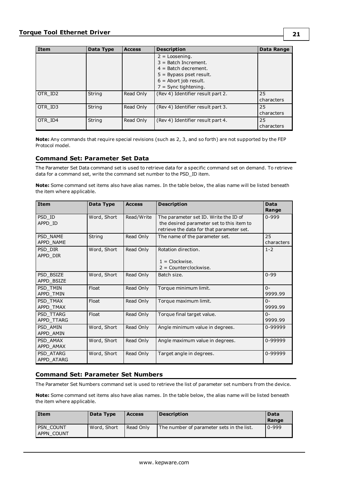| <b>Item</b> | Data Type | <b>Access</b> | <b>Description</b>                                                                                                                                     | Data Range       |
|-------------|-----------|---------------|--------------------------------------------------------------------------------------------------------------------------------------------------------|------------------|
|             |           |               | $2 =$ Loosening.<br>$3 =$ Batch Increment.<br>$4 =$ Batch decrement.<br>$5 = Bypass$ pset result.<br>$6 =$ Abort job result.<br>$7 =$ Sync tightening. |                  |
| OTR ID2     | String    | Read Only     | (Rev 4) Identifier result part 2.                                                                                                                      | 25<br>characters |
| OTR ID3     | String    | Read Only     | (Rev 4) Identifier result part 3.                                                                                                                      | 25<br>characters |
| OTR ID4     | String    | Read Only     | (Rev 4) Identifier result part 4.                                                                                                                      | 25<br>characters |

**Note:** Any commands that require special revisions (such as 2, 3, and so forth) are not supported by the FEP Protocol model.

## <span id="page-20-0"></span>**Command Set: Parameter Set Data**

The Parameter Set Data command set is used to retrieve data for a specific command set on demand. To retrieve data for a command set, write the command set number to the PSD\_ID item.

**Note:** Some command set items also have alias names. In the table below, the alias name will be listed beneath the item where applicable.

| <b>Item</b>             | Data Type   | <b>Access</b> | <b>Description</b>                                                                                                              | <b>Data</b><br>Range  |
|-------------------------|-------------|---------------|---------------------------------------------------------------------------------------------------------------------------------|-----------------------|
| PSD ID<br>APPD ID       | Word, Short | Read/Write    | The parameter set ID. Write the ID of<br>the desired parameter set to this item to<br>retrieve the data for that parameter set. | $0 - 999$             |
| PSD NAME<br>APPD NAME   | String      | Read Only     | The name of the parameter set.                                                                                                  | 25<br>characters      |
| PSD DIR<br>APPD DIR     | Word, Short | Read Only     | Rotation direction.<br>$1 =$ Clockwise.<br>$2 =$ Counterclockwise.                                                              | $1 - 2$               |
| PSD BSIZE<br>APPD BSIZE | Word, Short | Read Only     | Batch size.                                                                                                                     | $0 - 99$              |
| PSD TMIN<br>APPD TMIN   | Float       | Read Only     | Torque minimum limit.                                                                                                           | $\Omega$ -<br>9999.99 |
| PSD TMAX<br>APPD TMAX   | Float       | Read Only     | Torque maximum limit.                                                                                                           | $0 -$<br>9999.99      |
| PSD TTARG<br>APPD TTARG | Float       | Read Only     | Torque final target value.                                                                                                      | $\Omega$ -<br>9999.99 |
| PSD_AMIN<br>APPD AMIN   | Word, Short | Read Only     | Angle minimum value in degrees.                                                                                                 | 0-99999               |
| PSD AMAX<br>APPD AMAX   | Word, Short | Read Only     | Angle maximum value in degrees.                                                                                                 | 0-99999               |
| PSD ATARG<br>APPD_ATARG | Word, Short | Read Only     | Target angle in degrees.                                                                                                        | 0-99999               |

## <span id="page-20-1"></span>**Command Set: Parameter Set Numbers**

The Parameter Set Numbers command set is used to retrieve the list of parameter set numbers from the device.

**Note:** Some command set items also have alias names. In the table below, the alias name will be listed beneath the item where applicable.

| <b>Item</b>             | Data Type   | <b>Access</b> | <b>Description</b>                        | Data<br>Range |
|-------------------------|-------------|---------------|-------------------------------------------|---------------|
| PSN COUNT<br>APPN COUNT | Word, Short | Read Only     | The number of parameter sets in the list. | 0-999         |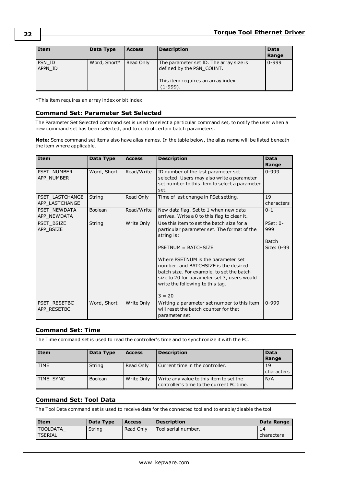| Item              | Data Type    | <b>Access</b> | <b>Description</b>                                                                                                    | Data<br>Range |
|-------------------|--------------|---------------|-----------------------------------------------------------------------------------------------------------------------|---------------|
| PSN ID<br>APPN ID | Word, Short* | Read Only     | The parameter set ID. The array size is<br>defined by the PSN COUNT.<br>This item requires an array index<br>(1-999). | $0 - 999$     |

<span id="page-21-0"></span>\*This item requires an array index or bit index.

## **Command Set: Parameter Set Selected**

The Parameter Set Selected command set is used to select a particular command set, to notify the user when a new command set has been selected, and to control certain batch parameters.

**Note:** Some command set items also have alias names. In the table below, the alias name will be listed beneath the item where applicable.

| Item                              | Data Type      | <b>Access</b> | <b>Description</b>                                                                                                                                                                                                                                                                                                                                      | <b>Data</b><br>Range                            |
|-----------------------------------|----------------|---------------|---------------------------------------------------------------------------------------------------------------------------------------------------------------------------------------------------------------------------------------------------------------------------------------------------------------------------------------------------------|-------------------------------------------------|
| PSET_NUMBER<br>APP_NUMBER         | Word, Short    | Read/Write    | ID number of the last parameter set<br>selected. Users may also write a parameter<br>set number to this item to select a parameter<br>set.                                                                                                                                                                                                              | $0 - 999$                                       |
| PSET LASTCHANGE<br>APP LASTCHANGE | String         | Read Only     | Time of last change in PSet setting.                                                                                                                                                                                                                                                                                                                    | 19<br>characters                                |
| PSET NEWDATA<br>APP NEWDATA       | <b>Boolean</b> | Read/Write    | New data flag. Set to 1 when new data<br>arrives. Write a 0 to this flag to clear it.                                                                                                                                                                                                                                                                   | $0 - 1$                                         |
| PSET BSIZE<br>APP BSIZE           | String         | Write Only    | Use this item to set the batch size for a<br>particular parameter set. The format of the<br>string is:<br>PSETNUM = BATCHSIZE<br>Where PSETNUM is the parameter set<br>number, and BATCHSIZE is the desired<br>batch size. For example, to set the batch<br>size to 20 for parameter set 3, users would<br>write the following to this tag.<br>$3 = 20$ | $PSet: 0-$<br>999<br><b>Batch</b><br>Size: 0-99 |
| PSET RESETBC<br>APP RESETBC       | Word, Short    | Write Only    | Writing a parameter set number to this item<br>will reset the batch counter for that<br>parameter set.                                                                                                                                                                                                                                                  | $0 - 999$                                       |

## <span id="page-21-1"></span>**Command Set: Time**

The Time command set is used to read the controller's time and to synchronize it with the PC.

| <b>Item</b> | Data Type      | <b>Access</b> | <b>Description</b>                                                                   | Data<br>Range    |
|-------------|----------------|---------------|--------------------------------------------------------------------------------------|------------------|
| <b>TIME</b> | String         | Read Only     | Current time in the controller.                                                      | 19<br>characters |
| TIME SYNC   | <b>Boolean</b> | Write Only    | Write any value to this item to set the<br>controller's time to the current PC time. | N/A              |

## <span id="page-21-2"></span>**Command Set: Tool Data**

The Tool Data command set is used to receive data for the connected tool and to enable/disable the tool.

| l Item          | Data Type | <b>Access</b> | <b>Description</b>         | Data Range   |
|-----------------|-----------|---------------|----------------------------|--------------|
| I TOOLDATA      | String    | Read Only     | <b>Tool serial number.</b> | 14           |
| <b>ITSERIAL</b> |           |               |                            | I characters |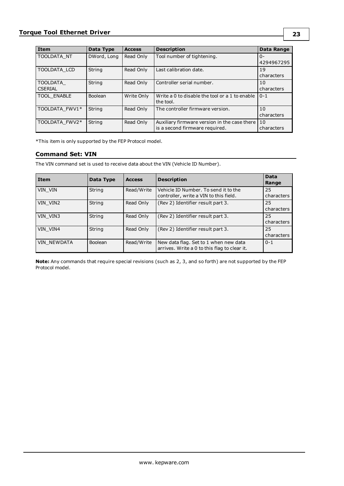| Item               | Data Type   | <b>Access</b> | <b>Description</b>                             | Data Range |
|--------------------|-------------|---------------|------------------------------------------------|------------|
| TOOLDATA NT        | DWord, Long | Read Only     | Tool number of tightening.                     | $0 -$      |
|                    |             |               |                                                | 4294967295 |
| TOOLDATA LCD       | String      | Read Only     | Last calibration date.                         | 19         |
|                    |             |               |                                                | characters |
| <b>TOOLDATA</b>    | String      | Read Only     | Controller serial number.                      | 10         |
| <b>CSERIAL</b>     |             |               |                                                | characters |
| <b>TOOL ENABLE</b> | Boolean     | Write Only    | Write a 0 to disable the tool or a 1 to enable | $0 - 1$    |
|                    |             |               | the tool.                                      |            |
| TOOLDATA FWV1*     | String      | Read Only     | The controller firmware version.               | 10         |
|                    |             |               |                                                | characters |
| TOOLDATA FWV2*     | String      | Read Only     | Auxiliary firmware version in the case there   | 10         |
|                    |             |               | is a second firmware required.                 | characters |

<span id="page-22-0"></span>\*This item is only supported by the FEP Protocol model.

## **Command Set: VIN**

The VIN command set is used to receive data about the VIN (Vehicle ID Number).

| Item        | Data Type      | <b>Access</b> | <b>Description</b>                                                                    | <b>Data</b><br>Range |
|-------------|----------------|---------------|---------------------------------------------------------------------------------------|----------------------|
| VIN VIN     | String         | Read/Write    | Vehicle ID Number. To send it to the<br>controller, write a VIN to this field.        | 25<br>characters     |
| VIN VIN2    | String         | Read Only     | (Rev 2) Identifier result part 3.                                                     | 25<br>characters     |
| VIN VIN3    | String         | Read Only     | (Rev 2) Identifier result part 3.                                                     | 25<br>characters     |
| VIN VIN4    | String         | Read Only     | (Rev 2) Identifier result part 3.                                                     | 25<br>characters     |
| VIN NEWDATA | <b>Boolean</b> | Read/Write    | New data flag. Set to 1 when new data<br>arrives. Write a 0 to this flag to clear it. | $0 - 1$              |

**Note:** Any commands that require special revisions (such as 2, 3, and so forth) are not supported by the FEP Protocol model.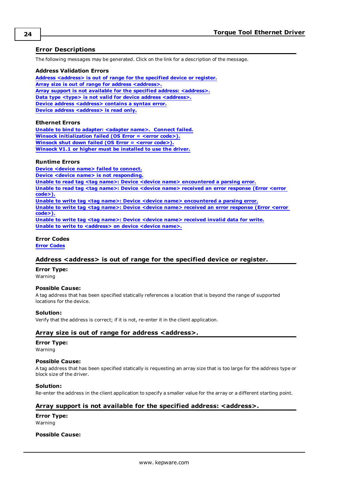## <span id="page-23-0"></span>**Error Descriptions**

The following messages may be generated. Click on the link for a description of the message.

#### **Address Validation Errors**

**Address [<address>](#page-23-1) is out of range for the specified device or register. Array size is out of range for address [<address>.](#page-23-2) Array support is not available for the specified address: [<address>.](#page-23-3) Data type <type> is not valid for device address [<address>.](#page-24-0) Device address [<address>](#page-24-1)** contains a syntax error. **Device address [<address>](#page-24-2)** is read only.

#### **Ethernet Errors**

**Unable to bind to adapter: [<adapter](#page-24-3) name>. Connect failed. Winsock [initialization](#page-24-4) failed (OS Error = <error code>). [Winsock](#page-24-5) shut down failed (OS Error = <error code>). Winsock V1.1 or higher must be [installed](#page-25-0) to use the driver.**

#### **Runtime Errors**

**Device <device name> failed to [connect.](#page-25-1) Device <device name> is not [responding.](#page-25-2) Unable to read tag <tag name>: Device <device name> [encountered](#page-25-3) a parsing error. Unable to read tag <tag name>: Device <device name> received an error [response](#page-26-0) (Error <error [code>\).](#page-26-0) Unable to write tag <tag name>: Device <device name> [encountered](#page-26-1) a parsing error. Unable to write tag <tag name>: Device <device name> received an error [response](#page-26-2) (Error <error [code>\).](#page-26-2) Unable to write tag <tag name>: Device <device name> [received](#page-27-0) invalid data for write. Unable to write to [<address>](#page-27-1) on device <device name>.**

#### **Error Codes**

<span id="page-23-1"></span>**Error [Codes](#page-27-2)**

#### **Address <address> is out of range for the specified device or register.**

**Error Type:** Warning

#### **Possible Cause:**

A tag address that has been specified statically references a location that is beyond the range of supported locations for the device.

#### **Solution:**

<span id="page-23-2"></span>Verify that the address is correct; if it is not, re-enter it in the client application.

#### **Array size is out of range for address <address>.**

#### **Error Type:**

Warning

#### **Possible Cause:**

A tag address that has been specified statically is requesting an array size that is too large for the address type or block size of the driver.

#### **Solution:**

<span id="page-23-3"></span>Re-enter the address in the client application to specify a smaller value for the array or a different starting point.

#### **Array support is not available for the specified address: <address>.**

**Error Type:** Warning

#### **Possible Cause:**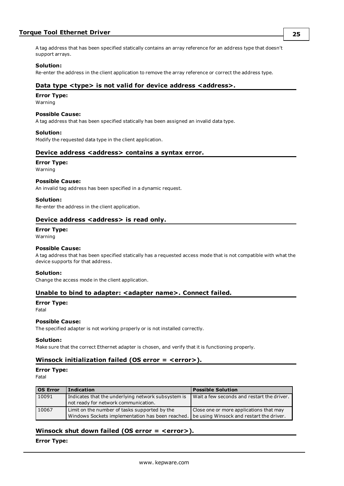## **Torque Tool Ethernet Driver**

A tag address that has been specified statically contains an array reference for an address type that doesn't support arrays.

#### **Solution:**

<span id="page-24-0"></span>Re-enter the address in the client application to remove the array reference or correct the address type.

#### **Data type <type> is not valid for device address <address>.**

#### **Error Type:**

Warning

#### **Possible Cause:**

A tag address that has been specified statically has been assigned an invalid data type.

#### **Solution:**

<span id="page-24-1"></span>Modify the requested data type in the client application.

#### **Device address <address> contains a syntax error.**

#### **Error Type:**

Warning

#### **Possible Cause:**

An invalid tag address has been specified in a dynamic request.

#### **Solution:**

<span id="page-24-2"></span>Re-enter the address in the client application.

### **Device address <address> is read only.**

## **Error Type:**

Warning

#### **Possible Cause:**

A tag address that has been specified statically has a requested access mode that is not compatible with what the device supports for that address.

#### **Solution:**

<span id="page-24-3"></span>Change the access mode in the client application.

#### **Unable to bind to adapter: <adapter name>. Connect failed.**

#### **Error Type:**

Fatal

#### **Possible Cause:**

The specified adapter is not working properly or is not installed correctly.

#### **Solution:**

<span id="page-24-4"></span>Make sure that the correct Ethernet adapter is chosen, and verify that it is functioning properly.

## **Winsock initialization failed (OS error = <error>).**

**Error Type:**

Fatal

| <b>OS Error</b> | <b>Indication</b>                                                                                 | <b>Possible Solution</b>                                                            |
|-----------------|---------------------------------------------------------------------------------------------------|-------------------------------------------------------------------------------------|
| 10091           | Indicates that the underlying network subsystem is<br>not ready for network communication.        | Wait a few seconds and restart the driver.                                          |
| 10067           | Limit on the number of tasks supported by the<br>Windows Sockets implementation has been reached. | Close one or more applications that may<br>be using Winsock and restart the driver. |

## <span id="page-24-5"></span>**Winsock shut down failed (OS error = <error>).**

**Error Type:**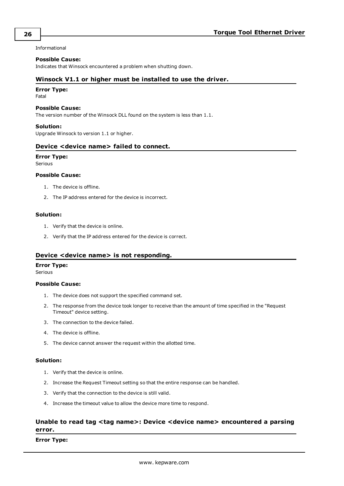Informational

#### **Possible Cause:**

<span id="page-25-0"></span>Indicates that Winsock encountered a problem when shutting down.

#### **Winsock V1.1 or higher must be installed to use the driver.**

#### **Error Type:**

Fatal

#### **Possible Cause:**

The version number of the Winsock DLL found on the system is less than 1.1.

#### **Solution:**

<span id="page-25-1"></span>Upgrade Winsock to version 1.1 or higher.

#### **Device <device name> failed to connect.**

### **Error Type:**

Serious

#### **Possible Cause:**

- 1. The device is offline.
- 2. The IP address entered for the device is incorrect.

#### **Solution:**

- 1. Verify that the device is online.
- 2. Verify that the IP address entered for the device is correct.

## <span id="page-25-2"></span>**Device <device name> is not responding.**

#### **Error Type:**

Serious

#### **Possible Cause:**

- 1. The device does not support the specified command set.
- 2. The response from the device took longer to receive than the amount of time specified in the "Request Timeout" device setting.
- 3. The connection to the device failed.
- 4. The device is offline.
- 5. The device cannot answer the request within the allotted time.

#### **Solution:**

- 1. Verify that the device is online.
- 2. Increase the Request Timeout setting so that the entire response can be handled.
- 3. Verify that the connection to the device is still valid.
- 4. Increase the timeout value to allow the device more time to respond.

## <span id="page-25-3"></span>**Unable to read tag <tag name>: Device <device name> encountered a parsing error.**

#### **Error Type:**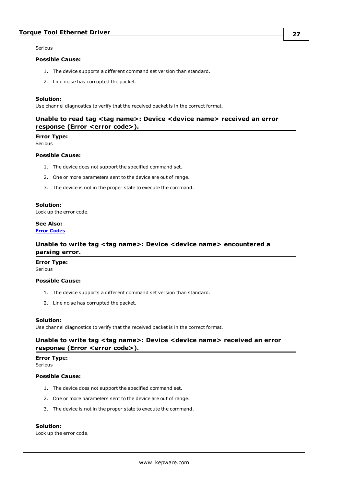Serious

#### **Possible Cause:**

- 1. The device supports a different command set version than standard.
- 2. Line noise has corrupted the packet.

#### **Solution:**

<span id="page-26-0"></span>Use channel diagnostics to verify that the received packet is in the correct format.

## **Unable to read tag <tag name>: Device <device name> received an error response (Error <error code>).**

#### **Error Type:**

Serious

#### **Possible Cause:**

- 1. The device does not support the specified command set.
- 2. One or more parameters sent to the device are out of range.
- 3. The device is not in the proper state to execute the command.

#### **Solution:**

Look up the error code.

### **See Also: Error [Codes](#page-27-2)**

## <span id="page-26-1"></span>**Unable to write tag <tag name>: Device <device name> encountered a parsing error.**

#### **Error Type:** Serious

#### **Possible Cause:**

- 1. The device supports a different command set version than standard.
- 2. Line noise has corrupted the packet.

#### **Solution:**

<span id="page-26-2"></span>Use channel diagnostics to verify that the received packet is in the correct format.

## **Unable to write tag <tag name>: Device <device name> received an error response (Error <error code>).**

#### **Error Type:**

Serious

### **Possible Cause:**

- 1. The device does not support the specified command set.
- 2. One or more parameters sent to the device are out of range.
- 3. The device is not in the proper state to execute the command.

#### **Solution:**

Look up the error code.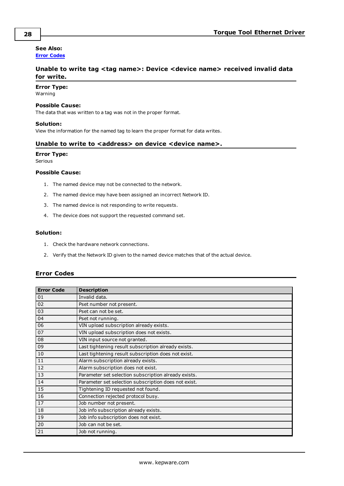## **See Also:**

<span id="page-27-0"></span>**Error [Codes](#page-27-2)**

## **Unable to write tag <tag name>: Device <device name> received invalid data for write.**

#### **Error Type:**

Warning

#### **Possible Cause:**

The data that was written to a tag was not in the proper format.

#### **Solution:**

<span id="page-27-1"></span>View the information for the named tag to learn the proper format for data writes.

### **Unable to write to <address> on device <device name>.**

#### **Error Type:**

Serious

#### **Possible Cause:**

- 1. The named device may not be connected to the network.
- 2. The named device may have been assigned an incorrect Network ID.
- 3. The named device is not responding to write requests.
- 4. The device does not support the requested command set.

#### **Solution:**

- 1. Check the hardware network connections.
- 2. Verify that the Network ID given to the named device matches that of the actual device.

#### <span id="page-27-2"></span>**Error Codes**

| <b>Error Code</b> | <b>Description</b>                                   |
|-------------------|------------------------------------------------------|
| 01                | Invalid data.                                        |
| 02                | Pset number not present.                             |
| 03                | Pset can not be set.                                 |
| 04                | Pset not running.                                    |
| 06                | VIN upload subscription already exists.              |
| 07                | VIN upload subscription does not exists.             |
| 08                | VIN input source not granted.                        |
| 09                | Last tightening result subscription already exists.  |
| 10                | Last tightening result subscription does not exist.  |
| 11                | Alarm subscription already exists.                   |
| 12                | Alarm subscription does not exist.                   |
| 13                | Parameter set selection subscription already exists. |
| 14                | Parameter set selection subscription does not exist. |
| 15                | Tightening ID requested not found.                   |
| 16                | Connection rejected protocol busy.                   |
| 17                | Job number not present.                              |
| 18                | Job info subscription already exists.                |
| 19                | Job info subscription does not exist.                |
| 20                | Job can not be set.                                  |
| 21                | Job not running.                                     |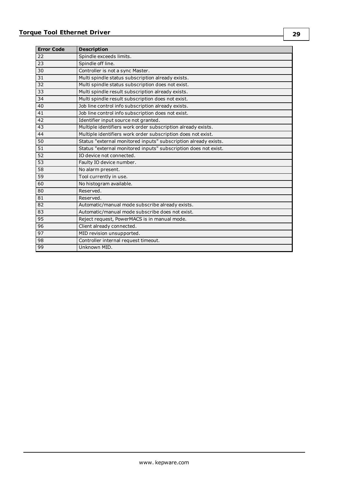| <b>Error Code</b> | <b>Description</b>                                              |
|-------------------|-----------------------------------------------------------------|
| 22                | Spindle exceeds limits.                                         |
| 23                | Spindle off line.                                               |
| 30                | Controller is not a sync Master.                                |
| 31                | Multi spindle status subscription already exists.               |
| 32                | Multi spindle status subscription does not exist.               |
| 33                | Multi spindle result subscription already exists.               |
| 34                | Multi spindle result subscription does not exist.               |
| 40                | Job line control info subscription already exists.              |
| 41                | Job line control info subscription does not exist.              |
| 42                | Identifier input source not granted.                            |
| 43                | Multiple identifiers work order subscription already exists.    |
| 44                | Multiple identifiers work order subscription does not exist.    |
| 50                | Status "external monitored inputs" subscription already exists. |
| 51                | Status "external monitored inputs" subscription does not exist. |
| 52                | IO device not connected.                                        |
| 53                | Faulty IO device number.                                        |
| 58                | No alarm present.                                               |
| 59                | Tool currently in use.                                          |
| 60                | No histogram available.                                         |
| 80                | Reserved.                                                       |
| 81                | Reserved.                                                       |
| 82                | Automatic/manual mode subscribe already exists.                 |
| 83                | Automatic/manual mode subscribe does not exist.                 |
| 95                | Reject request, PowerMACS is in manual mode.                    |
| 96                | Client already connected.                                       |
| 97                | MID revision unsupported.                                       |
| 98                | Controller internal request timeout.                            |
| 99                | Unknown MID.                                                    |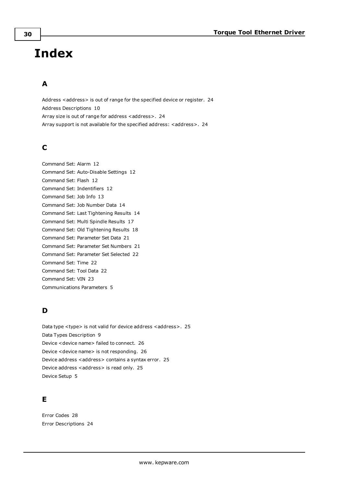# <span id="page-29-0"></span>**Index**

## **A**

Address <address> is out of range for the specified device or register. [24](#page-23-1) Address Descriptions [10](#page-9-0) Array size is out of range for address <address>. [24](#page-23-2) Array support is not available for the specified address: <address>. [24](#page-23-3)

## **C**

Command Set: Alarm [12](#page-11-0) Command Set: Auto-Disable Settings [12](#page-11-1) Command Set: Flash [12](#page-11-2) Command Set: Indentifiers [12](#page-11-3) Command Set: Job Info [13](#page-12-0) Command Set: Job Number Data [14](#page-13-0) Command Set: Last Tightening Results [14](#page-13-1) Command Set: Multi Spindle Results [17](#page-16-0) Command Set: Old Tightening Results [18](#page-17-0) Command Set: Parameter Set Data [21](#page-20-0) Command Set: Parameter Set Numbers [21](#page-20-1) Command Set: Parameter Set Selected [22](#page-21-0) Command Set: Time [22](#page-21-1) Command Set: Tool Data [22](#page-21-2) Command Set: VIN [23](#page-22-0) Communications Parameters [5](#page-4-1)

## **D**

Data type <type> is not valid for device address <address>. [25](#page-24-0) Data Types Description [9](#page-8-0) Device <device name> failed to connect. [26](#page-25-1) Device <device name> is not responding. [26](#page-25-2) Device address <address> contains a syntax error. [25](#page-24-1) Device address <address> is read only. [25](#page-24-2) Device Setup [5](#page-4-0)

## **E**

Error Codes [28](#page-27-2) Error Descriptions [24](#page-23-0)